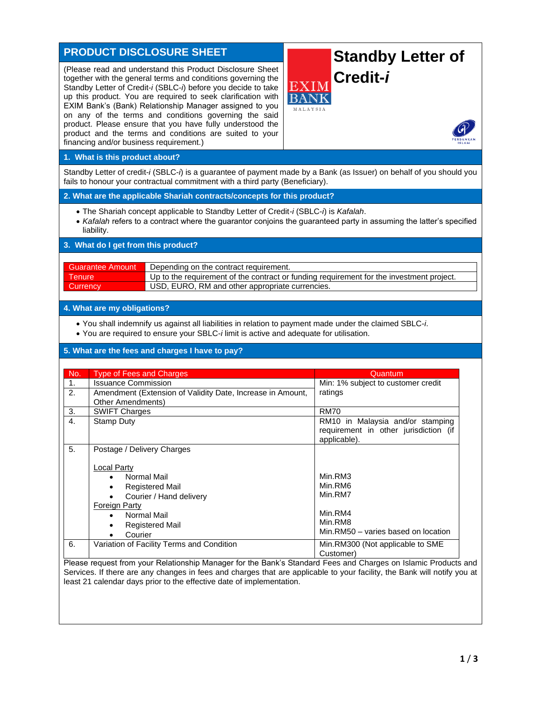# **PRODUCT DISCLOSURE SHEET**

(Please read and understand this Product Disclosure Sheet together with the general terms and conditions governing the Standby Letter of Credit-*i* (SBLC-*i*) before you decide to take up this product. You are required to seek clarification with EXIM Bank's (Bank) Relationship Manager assigned to you on any of the terms and conditions governing the said product. Please ensure that you have fully understood the product and the terms and conditions are suited to your financing and/or business requirement.)

# **Standby Letter of Credit-***i*



#### **1. What is this product about?**

Standby Letter of credit-*i* (SBLC-*i*) is a guarantee of payment made by a Bank (as Issuer) on behalf of you should you fails to honour your contractual commitment with a third party (Beneficiary).

#### **2. What are the applicable Shariah contracts/concepts for this product?**

- The Shariah concept applicable to Standby Letter of Credit*-i* (SBLC-*i*) is *Kafalah*.
- *Kafalah* refers to a contract where the guarantor conjoins the guaranteed party in assuming the latter's specified liability.

### **3. What do I get from this product?**

| <b>Guarantee Amount</b> | Depending on the contract requirement.                                                   |  |
|-------------------------|------------------------------------------------------------------------------------------|--|
| <b>Tenure</b>           | Up to the requirement of the contract or funding requirement for the investment project. |  |
| <b>Currency</b>         | USD, EURO, RM and other appropriate currencies.                                          |  |

#### **4. What are my obligations?**

- You shall indemnify us against all liabilities in relation to payment made under the claimed SBLC-*i*.
- You are required to ensure your SBLC-*i* limit is active and adequate for utilisation.

# **5. What are the fees and charges I have to pay?**

| No.            | <b>Type of Fees and Charges</b>                                                                                                                                                                                                                                   | Quantum                                                                                    |
|----------------|-------------------------------------------------------------------------------------------------------------------------------------------------------------------------------------------------------------------------------------------------------------------|--------------------------------------------------------------------------------------------|
| 1.             | <b>Issuance Commission</b>                                                                                                                                                                                                                                        | Min: 1% subject to customer credit                                                         |
| 2.             | Amendment (Extension of Validity Date, Increase in Amount,<br>Other Amendments)                                                                                                                                                                                   | ratings                                                                                    |
| 3.             | <b>SWIFT Charges</b>                                                                                                                                                                                                                                              | <b>RM70</b>                                                                                |
| 4.             | <b>Stamp Duty</b>                                                                                                                                                                                                                                                 | RM10 in Malaysia and/or stamping<br>requirement in other jurisdiction (if<br>applicable).  |
| 5 <sub>1</sub> | Postage / Delivery Charges<br><b>Local Party</b><br>Normal Mail<br>$\bullet$<br><b>Registered Mail</b><br>$\bullet$<br>Courier / Hand delivery<br><b>Foreign Party</b><br>Normal Mail<br>$\bullet$<br><b>Registered Mail</b><br>$\bullet$<br>Courier<br>$\bullet$ | Min.RM3<br>Min.RM6<br>Min.RM7<br>Min.RM4<br>Min.RM8<br>Min.RM50 - varies based on location |
| 6.             | Variation of Facility Terms and Condition                                                                                                                                                                                                                         | Min.RM300 (Not applicable to SME<br>Customer)                                              |

Please request from your Relationship Manager for the Bank's Standard Fees and Charges on Islamic Products and Services. If there are any changes in fees and charges that are applicable to your facility, the Bank will notify you at least 21 calendar days prior to the effective date of implementation.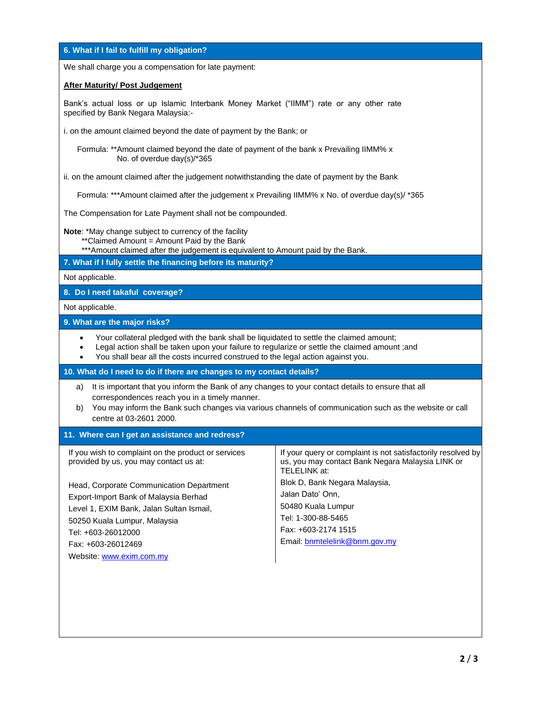| 6. What if I fail to fulfill my obligation?                                                                                                                                                                                                                                                                                            |                                                                                                                                                                                                                                                                                           |  |  |  |
|----------------------------------------------------------------------------------------------------------------------------------------------------------------------------------------------------------------------------------------------------------------------------------------------------------------------------------------|-------------------------------------------------------------------------------------------------------------------------------------------------------------------------------------------------------------------------------------------------------------------------------------------|--|--|--|
| We shall charge you a compensation for late payment:                                                                                                                                                                                                                                                                                   |                                                                                                                                                                                                                                                                                           |  |  |  |
| <b>After Maturity/ Post Judgement</b>                                                                                                                                                                                                                                                                                                  |                                                                                                                                                                                                                                                                                           |  |  |  |
| Bank's actual loss or up Islamic Interbank Money Market ("IIMM") rate or any other rate<br>specified by Bank Negara Malaysia:-                                                                                                                                                                                                         |                                                                                                                                                                                                                                                                                           |  |  |  |
| i. on the amount claimed beyond the date of payment by the Bank; or                                                                                                                                                                                                                                                                    |                                                                                                                                                                                                                                                                                           |  |  |  |
| Formula: ** Amount claimed beyond the date of payment of the bank x Prevailing IIMM% x<br>No. of overdue day(s)/*365                                                                                                                                                                                                                   |                                                                                                                                                                                                                                                                                           |  |  |  |
| ii. on the amount claimed after the judgement notwithstanding the date of payment by the Bank                                                                                                                                                                                                                                          |                                                                                                                                                                                                                                                                                           |  |  |  |
| Formula: *** Amount claimed after the judgement x Prevailing IIMM% x No. of overdue day(s)/ *365                                                                                                                                                                                                                                       |                                                                                                                                                                                                                                                                                           |  |  |  |
| The Compensation for Late Payment shall not be compounded.                                                                                                                                                                                                                                                                             |                                                                                                                                                                                                                                                                                           |  |  |  |
| Note: *May change subject to currency of the facility<br>** Claimed Amount = Amount Paid by the Bank<br>*** Amount claimed after the judgement is equivalent to Amount paid by the Bank.                                                                                                                                               |                                                                                                                                                                                                                                                                                           |  |  |  |
| 7. What if I fully settle the financing before its maturity?                                                                                                                                                                                                                                                                           |                                                                                                                                                                                                                                                                                           |  |  |  |
| Not applicable.                                                                                                                                                                                                                                                                                                                        |                                                                                                                                                                                                                                                                                           |  |  |  |
| 8. Do I need takaful coverage?                                                                                                                                                                                                                                                                                                         |                                                                                                                                                                                                                                                                                           |  |  |  |
| Not applicable.                                                                                                                                                                                                                                                                                                                        |                                                                                                                                                                                                                                                                                           |  |  |  |
| 9. What are the major risks?                                                                                                                                                                                                                                                                                                           |                                                                                                                                                                                                                                                                                           |  |  |  |
| Your collateral pledged with the bank shall be liquidated to settle the claimed amount;<br>$\bullet$<br>Legal action shall be taken upon your failure to regularize or settle the claimed amount ;and<br>$\bullet$<br>You shall bear all the costs incurred construed to the legal action against you.                                 |                                                                                                                                                                                                                                                                                           |  |  |  |
| 10. What do I need to do if there are changes to my contact details?                                                                                                                                                                                                                                                                   |                                                                                                                                                                                                                                                                                           |  |  |  |
| It is important that you inform the Bank of any changes to your contact details to ensure that all<br>a)<br>correspondences reach you in a timely manner.<br>You may inform the Bank such changes via various channels of communication such as the website or call<br>b)<br>centre at 03-2601 2000.                                   |                                                                                                                                                                                                                                                                                           |  |  |  |
| 11. Where can I get an assistance and redress?                                                                                                                                                                                                                                                                                         |                                                                                                                                                                                                                                                                                           |  |  |  |
| If you wish to complaint on the product or services<br>provided by us, you may contact us at:<br>Head, Corporate Communication Department<br>Export-Import Bank of Malaysia Berhad<br>Level 1, EXIM Bank, Jalan Sultan Ismail,<br>50250 Kuala Lumpur, Malaysia<br>Tel: +603-26012000<br>Fax: +603-26012469<br>Website: www.exim.com.my | If your query or complaint is not satisfactorily resolved by<br>us, you may contact Bank Negara Malaysia LINK or<br>TELELINK at:<br>Blok D, Bank Negara Malaysia,<br>Jalan Dato' Onn,<br>50480 Kuala Lumpur<br>Tel: 1-300-88-5465<br>Fax: +603-2174 1515<br>Email: bnmtelelink@bnm.gov.my |  |  |  |
|                                                                                                                                                                                                                                                                                                                                        |                                                                                                                                                                                                                                                                                           |  |  |  |